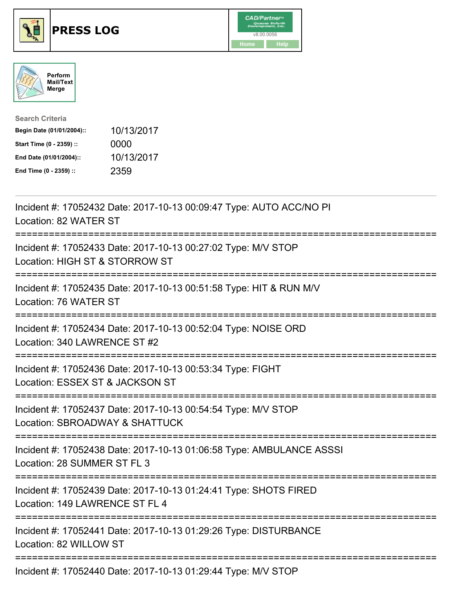





| <b>Search Criteria</b>    |            |
|---------------------------|------------|
| Begin Date (01/01/2004):: | 10/13/2017 |
| Start Time (0 - 2359) ::  | 0000       |
| End Date (01/01/2004)::   | 10/13/2017 |
| End Time (0 - 2359) ::    | 2359       |

| Incident #: 17052432 Date: 2017-10-13 00:09:47 Type: AUTO ACC/NO PI<br>Location: 82 WATER ST                     |
|------------------------------------------------------------------------------------------------------------------|
| Incident #: 17052433 Date: 2017-10-13 00:27:02 Type: M/V STOP<br>Location: HIGH ST & STORROW ST                  |
| Incident #: 17052435 Date: 2017-10-13 00:51:58 Type: HIT & RUN M/V<br>Location: 76 WATER ST                      |
| Incident #: 17052434 Date: 2017-10-13 00:52:04 Type: NOISE ORD<br>Location: 340 LAWRENCE ST #2                   |
| Incident #: 17052436 Date: 2017-10-13 00:53:34 Type: FIGHT<br>Location: ESSEX ST & JACKSON ST                    |
| Incident #: 17052437 Date: 2017-10-13 00:54:54 Type: M/V STOP<br>Location: SBROADWAY & SHATTUCK<br>============= |
| Incident #: 17052438 Date: 2017-10-13 01:06:58 Type: AMBULANCE ASSSI<br>Location: 28 SUMMER ST FL 3              |
| Incident #: 17052439 Date: 2017-10-13 01:24:41 Type: SHOTS FIRED<br>Location: 149 LAWRENCE ST FL 4               |
| Incident #: 17052441 Date: 2017-10-13 01:29:26 Type: DISTURBANCE<br>Location: 82 WILLOW ST                       |
| Incident #: 17052440 Date: 2017-10-13 01:29:44 Type: M/V STOP                                                    |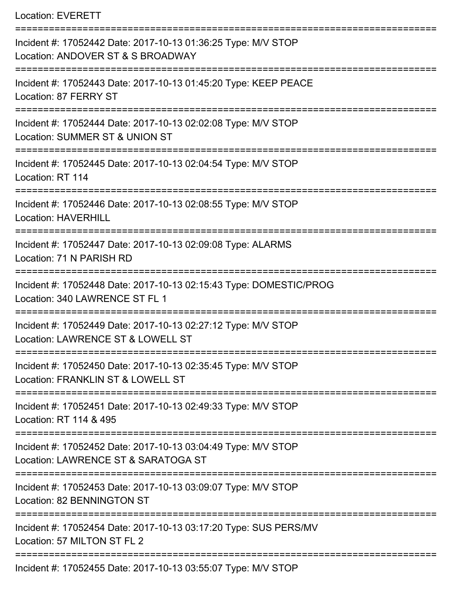Location: EVERETT

| Incident #: 17052442 Date: 2017-10-13 01:36:25 Type: M/V STOP<br>Location: ANDOVER ST & S BROADWAY   |
|------------------------------------------------------------------------------------------------------|
| Incident #: 17052443 Date: 2017-10-13 01:45:20 Type: KEEP PEACE<br>Location: 87 FERRY ST             |
| Incident #: 17052444 Date: 2017-10-13 02:02:08 Type: M/V STOP<br>Location: SUMMER ST & UNION ST      |
| Incident #: 17052445 Date: 2017-10-13 02:04:54 Type: M/V STOP<br>Location: RT 114                    |
| Incident #: 17052446 Date: 2017-10-13 02:08:55 Type: M/V STOP<br><b>Location: HAVERHILL</b>          |
| Incident #: 17052447 Date: 2017-10-13 02:09:08 Type: ALARMS<br>Location: 71 N PARISH RD              |
| Incident #: 17052448 Date: 2017-10-13 02:15:43 Type: DOMESTIC/PROG<br>Location: 340 LAWRENCE ST FL 1 |
| Incident #: 17052449 Date: 2017-10-13 02:27:12 Type: M/V STOP<br>Location: LAWRENCE ST & LOWELL ST   |
| Incident #: 17052450 Date: 2017-10-13 02:35:45 Type: M/V STOP<br>Location: FRANKLIN ST & LOWELL ST   |
| Incident #: 17052451 Date: 2017-10-13 02:49:33 Type: M/V STOP<br>Location: RT 114 & 495              |
| Incident #: 17052452 Date: 2017-10-13 03:04:49 Type: M/V STOP<br>Location: LAWRENCE ST & SARATOGA ST |
| Incident #: 17052453 Date: 2017-10-13 03:09:07 Type: M/V STOP<br>Location: 82 BENNINGTON ST          |
| Incident #: 17052454 Date: 2017-10-13 03:17:20 Type: SUS PERS/MV<br>Location: 57 MILTON ST FL 2      |
| Incident #: 17052455 Date: 2017-10-13 03:55:07 Type: M/V STOP                                        |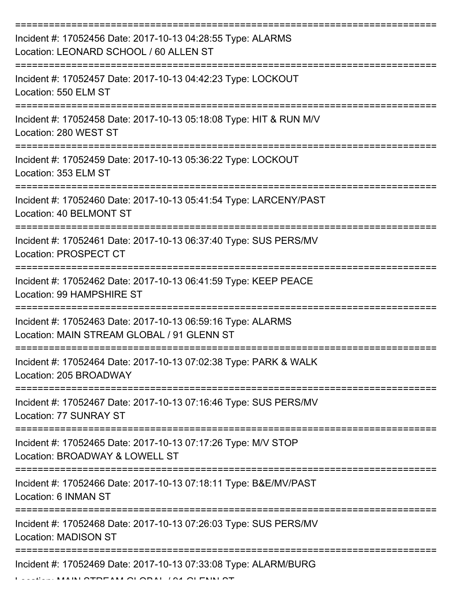| Incident #: 17052456 Date: 2017-10-13 04:28:55 Type: ALARMS<br>Location: LEONARD SCHOOL / 60 ALLEN ST     |
|-----------------------------------------------------------------------------------------------------------|
| Incident #: 17052457 Date: 2017-10-13 04:42:23 Type: LOCKOUT<br>Location: 550 ELM ST                      |
| Incident #: 17052458 Date: 2017-10-13 05:18:08 Type: HIT & RUN M/V<br>Location: 280 WEST ST               |
| Incident #: 17052459 Date: 2017-10-13 05:36:22 Type: LOCKOUT<br>Location: 353 ELM ST                      |
| Incident #: 17052460 Date: 2017-10-13 05:41:54 Type: LARCENY/PAST<br>Location: 40 BELMONT ST              |
| Incident #: 17052461 Date: 2017-10-13 06:37:40 Type: SUS PERS/MV<br>Location: PROSPECT CT                 |
| Incident #: 17052462 Date: 2017-10-13 06:41:59 Type: KEEP PEACE<br>Location: 99 HAMPSHIRE ST              |
| Incident #: 17052463 Date: 2017-10-13 06:59:16 Type: ALARMS<br>Location: MAIN STREAM GLOBAL / 91 GLENN ST |
| Incident #: 17052464 Date: 2017-10-13 07:02:38 Type: PARK & WALK<br>Location: 205 BROADWAY                |
| Incident #: 17052467 Date: 2017-10-13 07:16:46 Type: SUS PERS/MV<br>Location: 77 SUNRAY ST                |
| Incident #: 17052465 Date: 2017-10-13 07:17:26 Type: M/V STOP<br>Location: BROADWAY & LOWELL ST           |
| Incident #: 17052466 Date: 2017-10-13 07:18:11 Type: B&E/MV/PAST<br>Location: 6 INMAN ST                  |
| Incident #: 17052468 Date: 2017-10-13 07:26:03 Type: SUS PERS/MV<br><b>Location: MADISON ST</b>           |
| Incident #: 17052469 Date: 2017-10-13 07:33:08 Type: ALARM/BURG<br>AI OTOFARA OI ODAI TOJ OI FRIRI OT     |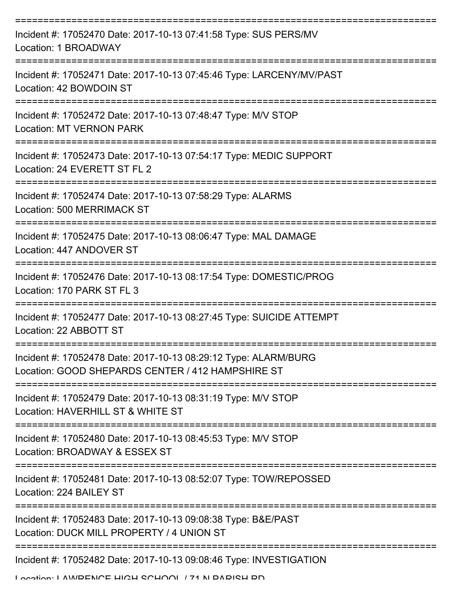| Incident #: 17052470 Date: 2017-10-13 07:41:58 Type: SUS PERS/MV<br>Location: 1 BROADWAY                             |
|----------------------------------------------------------------------------------------------------------------------|
| Incident #: 17052471 Date: 2017-10-13 07:45:46 Type: LARCENY/MV/PAST<br>Location: 42 BOWDOIN ST                      |
| Incident #: 17052472 Date: 2017-10-13 07:48:47 Type: M/V STOP<br><b>Location: MT VERNON PARK</b>                     |
| Incident #: 17052473 Date: 2017-10-13 07:54:17 Type: MEDIC SUPPORT<br>Location: 24 EVERETT ST FL 2                   |
| Incident #: 17052474 Date: 2017-10-13 07:58:29 Type: ALARMS<br><b>Location: 500 MERRIMACK ST</b>                     |
| Incident #: 17052475 Date: 2017-10-13 08:06:47 Type: MAL DAMAGE<br>Location: 447 ANDOVER ST                          |
| Incident #: 17052476 Date: 2017-10-13 08:17:54 Type: DOMESTIC/PROG<br>Location: 170 PARK ST FL 3                     |
| Incident #: 17052477 Date: 2017-10-13 08:27:45 Type: SUICIDE ATTEMPT<br>Location: 22 ABBOTT ST                       |
| Incident #: 17052478 Date: 2017-10-13 08:29:12 Type: ALARM/BURG<br>Location: GOOD SHEPARDS CENTER / 412 HAMPSHIRE ST |
| Incident #: 17052479 Date: 2017-10-13 08:31:19 Type: M/V STOP<br>Location: HAVERHILL ST & WHITE ST                   |
| Incident #: 17052480 Date: 2017-10-13 08:45:53 Type: M/V STOP<br>Location: BROADWAY & ESSEX ST                       |
| Incident #: 17052481 Date: 2017-10-13 08:52:07 Type: TOW/REPOSSED<br>Location: 224 BAILEY ST                         |
| Incident #: 17052483 Date: 2017-10-13 09:08:38 Type: B&E/PAST<br>Location: DUCK MILL PROPERTY / 4 UNION ST           |
| Incident #: 17052482 Date: 2017-10-13 09:08:46 Type: INVESTIGATION                                                   |

Location: LAMPENICE HIGH SCHOOL / 71 N DADISH DD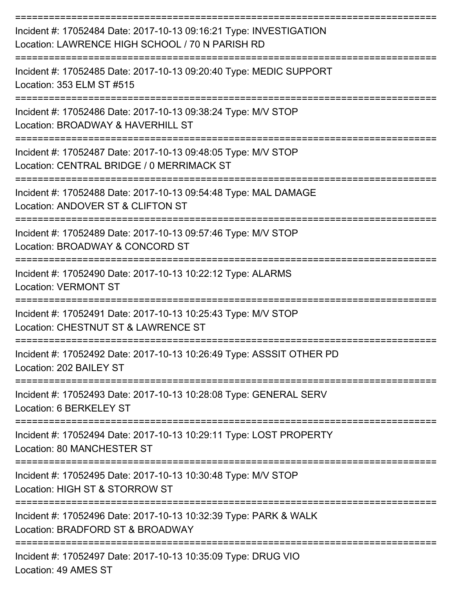| Incident #: 17052484 Date: 2017-10-13 09:16:21 Type: INVESTIGATION<br>Location: LAWRENCE HIGH SCHOOL / 70 N PARISH RD |
|-----------------------------------------------------------------------------------------------------------------------|
| Incident #: 17052485 Date: 2017-10-13 09:20:40 Type: MEDIC SUPPORT<br>Location: 353 ELM ST #515                       |
| Incident #: 17052486 Date: 2017-10-13 09:38:24 Type: M/V STOP<br>Location: BROADWAY & HAVERHILL ST                    |
| Incident #: 17052487 Date: 2017-10-13 09:48:05 Type: M/V STOP<br>Location: CENTRAL BRIDGE / 0 MERRIMACK ST            |
| Incident #: 17052488 Date: 2017-10-13 09:54:48 Type: MAL DAMAGE<br>Location: ANDOVER ST & CLIFTON ST                  |
| Incident #: 17052489 Date: 2017-10-13 09:57:46 Type: M/V STOP<br>Location: BROADWAY & CONCORD ST                      |
| Incident #: 17052490 Date: 2017-10-13 10:22:12 Type: ALARMS<br><b>Location: VERMONT ST</b>                            |
| Incident #: 17052491 Date: 2017-10-13 10:25:43 Type: M/V STOP<br>Location: CHESTNUT ST & LAWRENCE ST                  |
| Incident #: 17052492 Date: 2017-10-13 10:26:49 Type: ASSSIT OTHER PD<br>Location: 202 BAILEY ST                       |
| Incident #: 17052493 Date: 2017-10-13 10:28:08 Type: GENERAL SERV<br>Location: 6 BERKELEY ST                          |
| Incident #: 17052494 Date: 2017-10-13 10:29:11 Type: LOST PROPERTY<br>Location: 80 MANCHESTER ST                      |
| Incident #: 17052495 Date: 2017-10-13 10:30:48 Type: M/V STOP<br>Location: HIGH ST & STORROW ST                       |
| Incident #: 17052496 Date: 2017-10-13 10:32:39 Type: PARK & WALK<br>Location: BRADFORD ST & BROADWAY                  |
| Incident #: 17052497 Date: 2017-10-13 10:35:09 Type: DRUG VIO                                                         |

Location: 49 AMES ST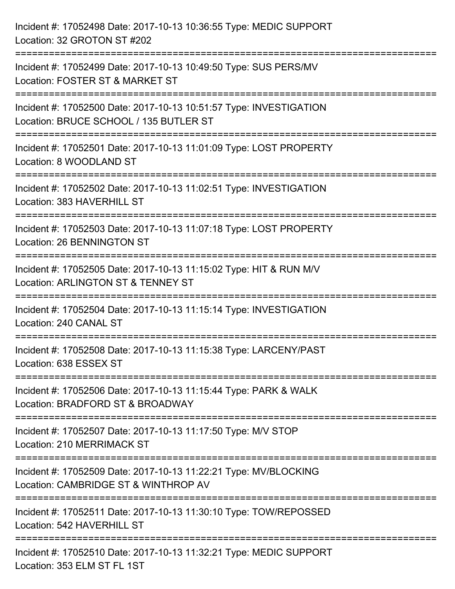| Incident #: 17052498 Date: 2017-10-13 10:36:55 Type: MEDIC SUPPORT<br>Location: 32 GROTON ST #202                                              |
|------------------------------------------------------------------------------------------------------------------------------------------------|
| Incident #: 17052499 Date: 2017-10-13 10:49:50 Type: SUS PERS/MV<br>Location: FOSTER ST & MARKET ST                                            |
| Incident #: 17052500 Date: 2017-10-13 10:51:57 Type: INVESTIGATION<br>Location: BRUCE SCHOOL / 135 BUTLER ST<br>============================== |
| Incident #: 17052501 Date: 2017-10-13 11:01:09 Type: LOST PROPERTY<br>Location: 8 WOODLAND ST                                                  |
| Incident #: 17052502 Date: 2017-10-13 11:02:51 Type: INVESTIGATION<br>Location: 383 HAVERHILL ST                                               |
| Incident #: 17052503 Date: 2017-10-13 11:07:18 Type: LOST PROPERTY<br>Location: 26 BENNINGTON ST                                               |
| Incident #: 17052505 Date: 2017-10-13 11:15:02 Type: HIT & RUN M/V<br>Location: ARLINGTON ST & TENNEY ST                                       |
| Incident #: 17052504 Date: 2017-10-13 11:15:14 Type: INVESTIGATION<br>Location: 240 CANAL ST                                                   |
| Incident #: 17052508 Date: 2017-10-13 11:15:38 Type: LARCENY/PAST<br>Location: 638 ESSEX ST                                                    |
| Incident #: 17052506 Date: 2017-10-13 11:15:44 Type: PARK & WALK<br>Location: BRADFORD ST & BROADWAY                                           |
| Incident #: 17052507 Date: 2017-10-13 11:17:50 Type: M/V STOP<br>Location: 210 MERRIMACK ST                                                    |
| Incident #: 17052509 Date: 2017-10-13 11:22:21 Type: MV/BLOCKING<br>Location: CAMBRIDGE ST & WINTHROP AV                                       |
| Incident #: 17052511 Date: 2017-10-13 11:30:10 Type: TOW/REPOSSED<br>Location: 542 HAVERHILL ST                                                |
| Incident #: 17052510 Date: 2017-10-13 11:32:21 Type: MEDIC SUPPORT<br>Location: 353 ELM ST FL 1ST                                              |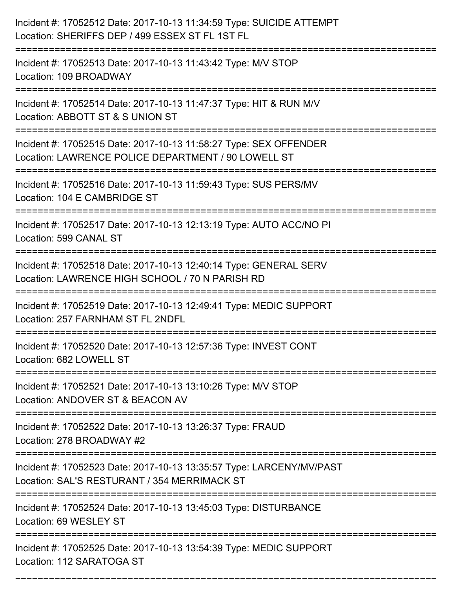| Incident #: 17052512 Date: 2017-10-13 11:34:59 Type: SUICIDE ATTEMPT<br>Location: SHERIFFS DEP / 499 ESSEX ST FL 1ST FL  |
|--------------------------------------------------------------------------------------------------------------------------|
| Incident #: 17052513 Date: 2017-10-13 11:43:42 Type: M/V STOP<br>Location: 109 BROADWAY                                  |
| Incident #: 17052514 Date: 2017-10-13 11:47:37 Type: HIT & RUN M/V<br>Location: ABBOTT ST & S UNION ST                   |
| Incident #: 17052515 Date: 2017-10-13 11:58:27 Type: SEX OFFENDER<br>Location: LAWRENCE POLICE DEPARTMENT / 90 LOWELL ST |
| Incident #: 17052516 Date: 2017-10-13 11:59:43 Type: SUS PERS/MV<br>Location: 104 E CAMBRIDGE ST<br>=========            |
| Incident #: 17052517 Date: 2017-10-13 12:13:19 Type: AUTO ACC/NO PI<br>Location: 599 CANAL ST                            |
| Incident #: 17052518 Date: 2017-10-13 12:40:14 Type: GENERAL SERV<br>Location: LAWRENCE HIGH SCHOOL / 70 N PARISH RD     |
| Incident #: 17052519 Date: 2017-10-13 12:49:41 Type: MEDIC SUPPORT<br>Location: 257 FARNHAM ST FL 2NDFL                  |
| Incident #: 17052520 Date: 2017-10-13 12:57:36 Type: INVEST CONT<br>Location: 682 LOWELL ST                              |
| Incident #: 17052521 Date: 2017-10-13 13:10:26 Type: M/V STOP<br>Location: ANDOVER ST & BEACON AV                        |
| Incident #: 17052522 Date: 2017-10-13 13:26:37 Type: FRAUD<br>Location: 278 BROADWAY #2                                  |
| Incident #: 17052523 Date: 2017-10-13 13:35:57 Type: LARCENY/MV/PAST<br>Location: SAL'S RESTURANT / 354 MERRIMACK ST     |
| Incident #: 17052524 Date: 2017-10-13 13:45:03 Type: DISTURBANCE<br>Location: 69 WESLEY ST                               |
| Incident #: 17052525 Date: 2017-10-13 13:54:39 Type: MEDIC SUPPORT<br>Location: 112 SARATOGA ST                          |

===========================================================================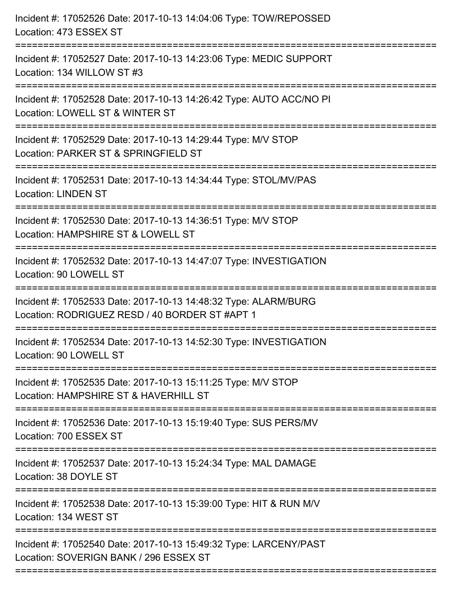| Incident #: 17052526 Date: 2017-10-13 14:04:06 Type: TOW/REPOSSED<br>Location: 473 ESSEX ST                                    |
|--------------------------------------------------------------------------------------------------------------------------------|
| Incident #: 17052527 Date: 2017-10-13 14:23:06 Type: MEDIC SUPPORT<br>Location: 134 WILLOW ST #3                               |
| Incident #: 17052528 Date: 2017-10-13 14:26:42 Type: AUTO ACC/NO PI<br>Location: LOWELL ST & WINTER ST<br>:==================  |
| Incident #: 17052529 Date: 2017-10-13 14:29:44 Type: M/V STOP<br>Location: PARKER ST & SPRINGFIELD ST                          |
| Incident #: 17052531 Date: 2017-10-13 14:34:44 Type: STOL/MV/PAS<br><b>Location: LINDEN ST</b>                                 |
| Incident #: 17052530 Date: 2017-10-13 14:36:51 Type: M/V STOP<br>Location: HAMPSHIRE ST & LOWELL ST<br>:==================     |
| Incident #: 17052532 Date: 2017-10-13 14:47:07 Type: INVESTIGATION<br>Location: 90 LOWELL ST<br>============================== |
| Incident #: 17052533 Date: 2017-10-13 14:48:32 Type: ALARM/BURG<br>Location: RODRIGUEZ RESD / 40 BORDER ST #APT 1              |
| Incident #: 17052534 Date: 2017-10-13 14:52:30 Type: INVESTIGATION<br>Location: 90 LOWELL ST                                   |
| Incident #: 17052535 Date: 2017-10-13 15:11:25 Type: M/V STOP<br>Location: HAMPSHIRE ST & HAVERHILL ST                         |
| Incident #: 17052536 Date: 2017-10-13 15:19:40 Type: SUS PERS/MV<br>Location: 700 ESSEX ST                                     |
| Incident #: 17052537 Date: 2017-10-13 15:24:34 Type: MAL DAMAGE<br>Location: 38 DOYLE ST                                       |
| Incident #: 17052538 Date: 2017-10-13 15:39:00 Type: HIT & RUN M/V<br>Location: 134 WEST ST                                    |
| Incident #: 17052540 Date: 2017-10-13 15:49:32 Type: LARCENY/PAST<br>Location: SOVERIGN BANK / 296 ESSEX ST                    |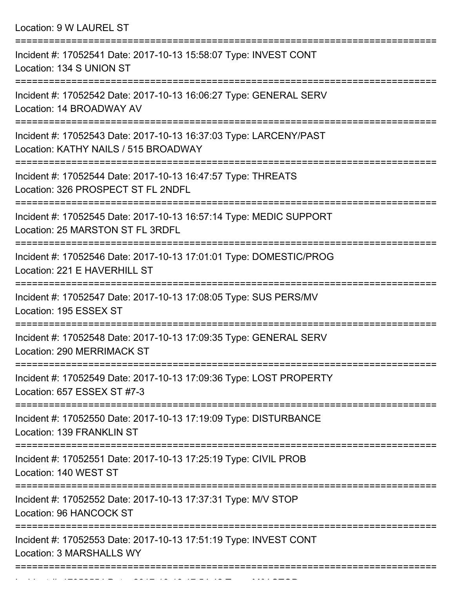Location: 9 W LAUREL ST

| Incident #: 17052541 Date: 2017-10-13 15:58:07 Type: INVEST CONT<br>Location: 134 S UNION ST              |
|-----------------------------------------------------------------------------------------------------------|
| Incident #: 17052542 Date: 2017-10-13 16:06:27 Type: GENERAL SERV<br>Location: 14 BROADWAY AV             |
| Incident #: 17052543 Date: 2017-10-13 16:37:03 Type: LARCENY/PAST<br>Location: KATHY NAILS / 515 BROADWAY |
| Incident #: 17052544 Date: 2017-10-13 16:47:57 Type: THREATS<br>Location: 326 PROSPECT ST FL 2NDFL        |
| Incident #: 17052545 Date: 2017-10-13 16:57:14 Type: MEDIC SUPPORT<br>Location: 25 MARSTON ST FL 3RDFL    |
| Incident #: 17052546 Date: 2017-10-13 17:01:01 Type: DOMESTIC/PROG<br>Location: 221 E HAVERHILL ST        |
| Incident #: 17052547 Date: 2017-10-13 17:08:05 Type: SUS PERS/MV<br>Location: 195 ESSEX ST                |
| Incident #: 17052548 Date: 2017-10-13 17:09:35 Type: GENERAL SERV<br>Location: 290 MERRIMACK ST           |
| Incident #: 17052549 Date: 2017-10-13 17:09:36 Type: LOST PROPERTY<br>Location: 657 ESSEX ST #7-3         |
| Incident #: 17052550 Date: 2017-10-13 17:19:09 Type: DISTURBANCE<br>Location: 139 FRANKLIN ST             |
| Incident #: 17052551 Date: 2017-10-13 17:25:19 Type: CIVIL PROB<br>Location: 140 WEST ST                  |
| Incident #: 17052552 Date: 2017-10-13 17:37:31 Type: M/V STOP<br><b>Location: 96 HANCOCK ST</b>           |
| Incident #: 17052553 Date: 2017-10-13 17:51:19 Type: INVEST CONT<br><b>Location: 3 MARSHALLS WY</b>       |
|                                                                                                           |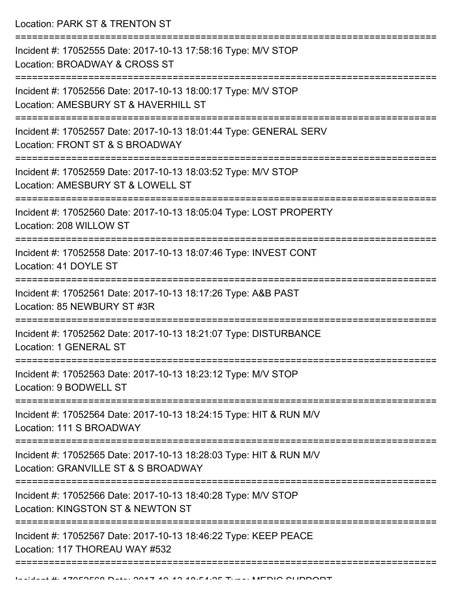Location: PARK ST & TRENTON ST

| Incident #: 17052555 Date: 2017-10-13 17:58:16 Type: M/V STOP<br>Location: BROADWAY & CROSS ST                     |
|--------------------------------------------------------------------------------------------------------------------|
| Incident #: 17052556 Date: 2017-10-13 18:00:17 Type: M/V STOP<br>Location: AMESBURY ST & HAVERHILL ST              |
| Incident #: 17052557 Date: 2017-10-13 18:01:44 Type: GENERAL SERV<br>Location: FRONT ST & S BROADWAY               |
| Incident #: 17052559 Date: 2017-10-13 18:03:52 Type: M/V STOP<br>Location: AMESBURY ST & LOWELL ST                 |
| Incident #: 17052560 Date: 2017-10-13 18:05:04 Type: LOST PROPERTY<br>Location: 208 WILLOW ST                      |
| Incident #: 17052558 Date: 2017-10-13 18:07:46 Type: INVEST CONT<br>Location: 41 DOYLE ST                          |
| Incident #: 17052561 Date: 2017-10-13 18:17:26 Type: A&B PAST<br>Location: 85 NEWBURY ST #3R                       |
| Incident #: 17052562 Date: 2017-10-13 18:21:07 Type: DISTURBANCE<br>Location: 1 GENERAL ST                         |
| Incident #: 17052563 Date: 2017-10-13 18:23:12 Type: M/V STOP<br>Location: 9 BODWELL ST                            |
| ----------------<br>Incident #: 17052564 Date: 2017-10-13 18:24:15 Type: HIT & RUN M/V<br>Location: 111 S BROADWAY |
| Incident #: 17052565 Date: 2017-10-13 18:28:03 Type: HIT & RUN M/V<br>Location: GRANVILLE ST & S BROADWAY          |
| Incident #: 17052566 Date: 2017-10-13 18:40:28 Type: M/V STOP<br>Location: KINGSTON ST & NEWTON ST                 |
| Incident #: 17052567 Date: 2017-10-13 18:46:22 Type: KEEP PEACE<br>Location: 117 THOREAU WAY #532                  |
|                                                                                                                    |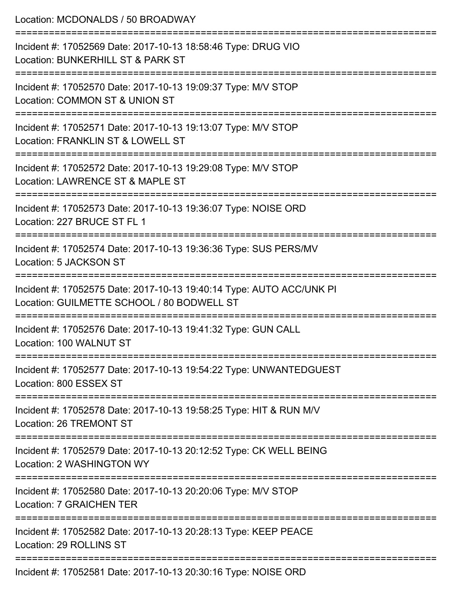| Location: MCDONALDS / 50 BROADWAY                                                                                                           |
|---------------------------------------------------------------------------------------------------------------------------------------------|
| Incident #: 17052569 Date: 2017-10-13 18:58:46 Type: DRUG VIO<br>Location: BUNKERHILL ST & PARK ST                                          |
| Incident #: 17052570 Date: 2017-10-13 19:09:37 Type: M/V STOP<br>Location: COMMON ST & UNION ST                                             |
| Incident #: 17052571 Date: 2017-10-13 19:13:07 Type: M/V STOP<br>Location: FRANKLIN ST & LOWELL ST<br>:==================================== |
| Incident #: 17052572 Date: 2017-10-13 19:29:08 Type: M/V STOP<br>Location: LAWRENCE ST & MAPLE ST                                           |
| Incident #: 17052573 Date: 2017-10-13 19:36:07 Type: NOISE ORD<br>Location: 227 BRUCE ST FL 1                                               |
| Incident #: 17052574 Date: 2017-10-13 19:36:36 Type: SUS PERS/MV<br>Location: 5 JACKSON ST                                                  |
| Incident #: 17052575 Date: 2017-10-13 19:40:14 Type: AUTO ACC/UNK PI<br>Location: GUILMETTE SCHOOL / 80 BODWELL ST                          |
| Incident #: 17052576 Date: 2017-10-13 19:41:32 Type: GUN CALL<br>Location: 100 WALNUT ST                                                    |
| Incident #: 17052577 Date: 2017-10-13 19:54:22 Type: UNWANTEDGUEST<br>Location: 800 ESSEX ST                                                |
| Incident #: 17052578 Date: 2017-10-13 19:58:25 Type: HIT & RUN M/V<br><b>Location: 26 TREMONT ST</b>                                        |
| Incident #: 17052579 Date: 2017-10-13 20:12:52 Type: CK WELL BEING<br>Location: 2 WASHINGTON WY                                             |
| Incident #: 17052580 Date: 2017-10-13 20:20:06 Type: M/V STOP<br><b>Location: 7 GRAICHEN TER</b>                                            |
| Incident #: 17052582 Date: 2017-10-13 20:28:13 Type: KEEP PEACE<br>Location: 29 ROLLINS ST                                                  |
| Incident #: 17052581 Date: 2017-10-13 20:30:16 Type: NOISE ORD                                                                              |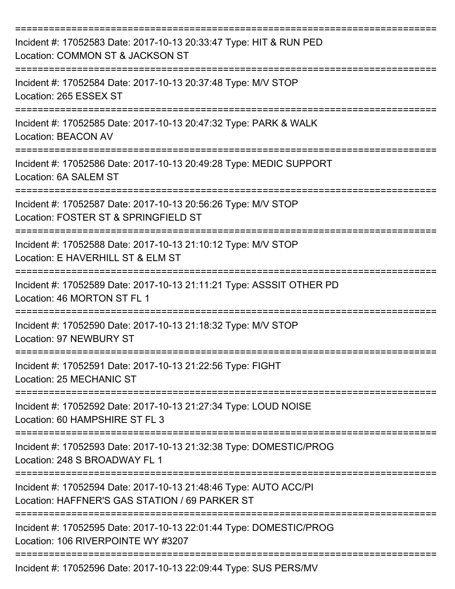| Incident #: 17052583 Date: 2017-10-13 20:33:47 Type: HIT & RUN PED<br>Location: COMMON ST & JACKSON ST             |
|--------------------------------------------------------------------------------------------------------------------|
| Incident #: 17052584 Date: 2017-10-13 20:37:48 Type: M/V STOP<br>Location: 265 ESSEX ST                            |
| Incident #: 17052585 Date: 2017-10-13 20:47:32 Type: PARK & WALK<br><b>Location: BEACON AV</b>                     |
| Incident #: 17052586 Date: 2017-10-13 20:49:28 Type: MEDIC SUPPORT<br>Location: 6A SALEM ST                        |
| Incident #: 17052587 Date: 2017-10-13 20:56:26 Type: M/V STOP<br>Location: FOSTER ST & SPRINGFIELD ST              |
| Incident #: 17052588 Date: 2017-10-13 21:10:12 Type: M/V STOP<br>Location: E HAVERHILL ST & ELM ST                 |
| Incident #: 17052589 Date: 2017-10-13 21:11:21 Type: ASSSIT OTHER PD<br>Location: 46 MORTON ST FL 1                |
| Incident #: 17052590 Date: 2017-10-13 21:18:32 Type: M/V STOP<br><b>Location: 97 NEWBURY ST</b>                    |
| Incident #: 17052591 Date: 2017-10-13 21:22:56 Type: FIGHT<br>Location: 25 MECHANIC ST                             |
| Incident #: 17052592 Date: 2017-10-13 21:27:34 Type: LOUD NOISE<br>Location: 60 HAMPSHIRE ST FL 3                  |
| Incident #: 17052593 Date: 2017-10-13 21:32:38 Type: DOMESTIC/PROG<br>Location: 248 S BROADWAY FL 1                |
| Incident #: 17052594 Date: 2017-10-13 21:48:46 Type: AUTO ACC/PI<br>Location: HAFFNER'S GAS STATION / 69 PARKER ST |
| Incident #: 17052595 Date: 2017-10-13 22:01:44 Type: DOMESTIC/PROG<br>Location: 106 RIVERPOINTE WY #3207           |
| Incident #: 17052596 Date: 2017-10-13 22:09:44 Type: SUS PERS/MV                                                   |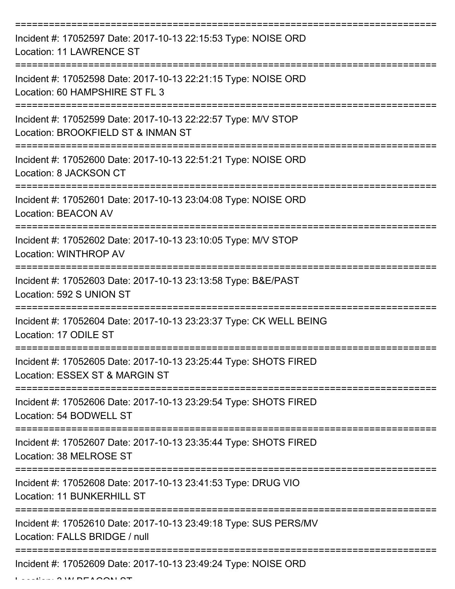| Incident #: 17052597 Date: 2017-10-13 22:15:53 Type: NOISE ORD<br><b>Location: 11 LAWRENCE ST</b>   |
|-----------------------------------------------------------------------------------------------------|
| Incident #: 17052598 Date: 2017-10-13 22:21:15 Type: NOISE ORD<br>Location: 60 HAMPSHIRE ST FL 3    |
| Incident #: 17052599 Date: 2017-10-13 22:22:57 Type: M/V STOP<br>Location: BROOKFIELD ST & INMAN ST |
| Incident #: 17052600 Date: 2017-10-13 22:51:21 Type: NOISE ORD<br>Location: 8 JACKSON CT            |
| Incident #: 17052601 Date: 2017-10-13 23:04:08 Type: NOISE ORD<br><b>Location: BEACON AV</b>        |
| Incident #: 17052602 Date: 2017-10-13 23:10:05 Type: M/V STOP<br>Location: WINTHROP AV              |
| Incident #: 17052603 Date: 2017-10-13 23:13:58 Type: B&E/PAST<br>Location: 592 S UNION ST           |
| Incident #: 17052604 Date: 2017-10-13 23:23:37 Type: CK WELL BEING<br>Location: 17 ODILE ST         |
| Incident #: 17052605 Date: 2017-10-13 23:25:44 Type: SHOTS FIRED<br>Location: ESSEX ST & MARGIN ST  |
| Incident #: 17052606 Date: 2017-10-13 23:29:54 Type: SHOTS FIRED<br>Location: 54 BODWELL ST         |
| Incident #: 17052607 Date: 2017-10-13 23:35:44 Type: SHOTS FIRED<br>Location: 38 MELROSE ST         |
| Incident #: 17052608 Date: 2017-10-13 23:41:53 Type: DRUG VIO<br><b>Location: 11 BUNKERHILL ST</b>  |
| Incident #: 17052610 Date: 2017-10-13 23:49:18 Type: SUS PERS/MV<br>Location: FALLS BRIDGE / null   |
| Incident #: 17052609 Date: 2017-10-13 23:49:24 Type: NOISE ORD                                      |

 $L = LL = L \cdot 3$  W BEACON ST